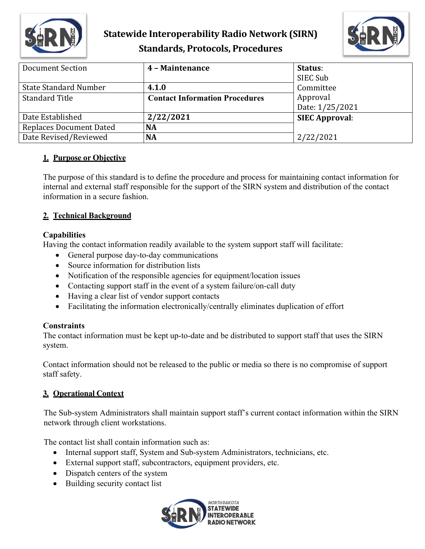

# **Statewide Interoperability Radio Network (SIRN) Standards, Protocols, Procedures**



| <b>Document Section</b>        | 4 - Maintenance                       | Status:               |
|--------------------------------|---------------------------------------|-----------------------|
|                                |                                       | SIEC Sub              |
| <b>State Standard Number</b>   | 4.1.0                                 | Committee             |
| <b>Standard Title</b>          | <b>Contact Information Procedures</b> | Approval              |
|                                |                                       | Date: 1/25/2021       |
| Date Established               | 2/22/2021                             | <b>SIEC Approval:</b> |
| <b>Replaces Document Dated</b> | <b>NA</b>                             |                       |
| Date Revised/Reviewed          | <b>NA</b>                             | 2/22/2021             |

#### **1. Purpose or Objective**

The purpose of this standard is to define the procedure and process for maintaining contact information for internal and external staff responsible for the support of the SIRN system and distribution of the contact information in a secure fashion.

## **2. Technical Background**

#### **Capabilities**

Having the contact information readily available to the system support staff will facilitate:

- General purpose day-to-day communications
- Source information for distribution lists
- Notification of the responsible agencies for equipment/location issues
- Contacting support staff in the event of a system failure/on-call duty
- Having a clear list of vendor support contacts
- Facilitating the information electronically/centrally eliminates duplication of effort

## **Constraints**

The contact information must be kept up-to-date and be distributed to support staff that uses the SIRN system.

Contact information should not be released to the public or media so there is no compromise of support staff safety.

## **3. Operational Context**

The Sub-system Administrators shall maintain support staff's current contact information within the SIRN network through client workstations.

The contact list shall contain information such as:

- Internal support staff, System and Sub-system Administrators, technicians, etc.
- External support staff, subcontractors, equipment providers, etc.
- Dispatch centers of the system
- Building security contact list